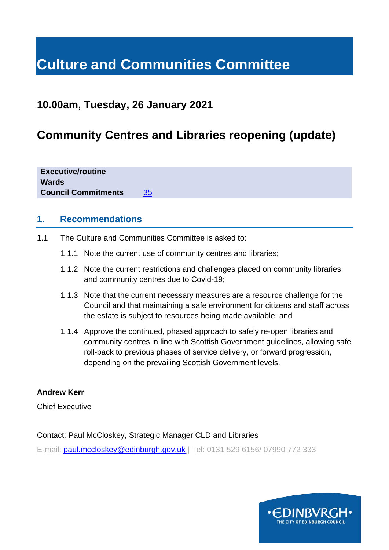# **Culture and Communities Committee**

# **10.00am, Tuesday, 26 January 2021**

# **Community Centres and Libraries reopening (update)**

**Executive/routine Wards Council Commitments** [35](https://www.edinburgh.gov.uk/council-commitments/delivering-children-families?documentId=12621&categoryId=20141)

# **1. Recommendations**

- 1.1 The Culture and Communities Committee is asked to:
	- 1.1.1 Note the current use of community centres and libraries;
	- 1.1.2 Note the current restrictions and challenges placed on community libraries and community centres due to Covid-19;
	- 1.1.3 Note that the current necessary measures are a resource challenge for the Council and that maintaining a safe environment for citizens and staff across the estate is subject to resources being made available; and
	- 1.1.4 Approve the continued, phased approach to safely re-open libraries and community centres in line with Scottish Government guidelines, allowing safe roll-back to previous phases of service delivery, or forward progression, depending on the prevailing Scottish Government levels.

# **Andrew Kerr**

Chief Executive

## Contact: Paul McCloskey, Strategic Manager CLD and Libraries

E-mail: [paul.mccloskey@edinburgh.gov.uk](mailto:paul.mccloskey@edinburgh.gov.uk) | Tel: 0131 529 6156/ 07990 772 333

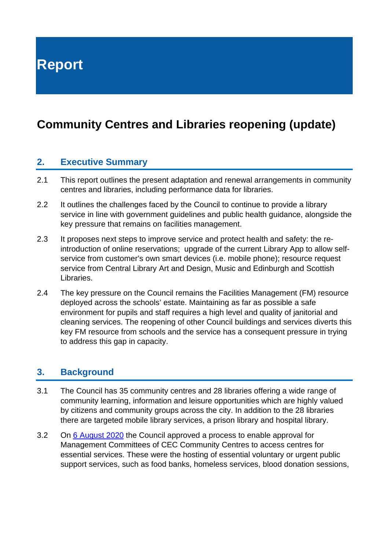**Report**

# **Community Centres and Libraries reopening (update)**

# **2. Executive Summary**

- 2.1 This report outlines the present adaptation and renewal arrangements in community centres and libraries, including performance data for libraries.
- 2.2 It outlines the challenges faced by the Council to continue to provide a library service in line with government guidelines and public health guidance, alongside the key pressure that remains on facilities management.
- 2.3 It proposes next steps to improve service and protect health and safety: the reintroduction of online reservations; upgrade of the current Library App to allow selfservice from customer's own smart devices (i.e. mobile phone); resource request service from Central Library Art and Design, Music and Edinburgh and Scottish Libraries.
- 2.4 The key pressure on the Council remains the Facilities Management (FM) resource deployed across the schools' estate. Maintaining as far as possible a safe environment for pupils and staff requires a high level and quality of janitorial and cleaning services. The reopening of other Council buildings and services diverts this key FM resource from schools and the service has a consequent pressure in trying to address this gap in capacity.

# **3. Background**

- 3.1 The Council has 35 community centres and 28 libraries offering a wide range of community learning, information and leisure opportunities which are highly valued by citizens and community groups across the city. In addition to the 28 libraries there are targeted mobile library services, a prison library and hospital library.
- 3.2 On [6 August 2020](https://democracy.edinburgh.gov.uk/ieListDocuments.aspx?CId=135&MId=5517&Ver=4) the Council approved a process to enable approval for Management Committees of CEC Community Centres to access centres for essential services. These were the hosting of essential voluntary or urgent public support services, such as food banks, homeless services, blood donation sessions,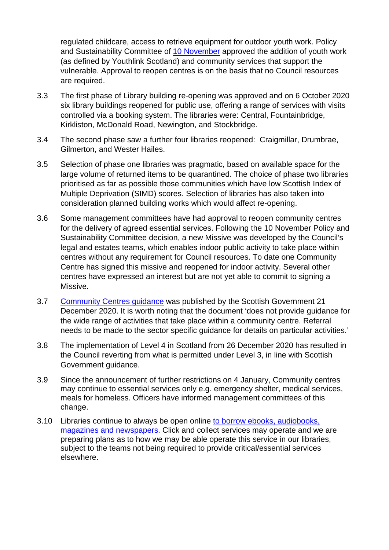regulated childcare, access to retrieve equipment for outdoor youth work. Policy and Sustainability Committee of [10 November](https://democracy.edinburgh.gov.uk/ieListDocuments.aspx?CId=135&MId=5672&Ver=4) approved the addition of youth work (as defined by Youthlink Scotland) and community services that support the vulnerable. Approval to reopen centres is on the basis that no Council resources are required.

- 3.3 The first phase of Library building re-opening was approved and on 6 October 2020 six library buildings reopened for public use, offering a range of services with visits controlled via a booking system. The libraries were: Central, Fountainbridge, Kirkliston, McDonald Road, Newington, and Stockbridge.
- 3.4 The second phase saw a further four libraries reopened: Craigmillar, Drumbrae, Gilmerton, and Wester Hailes.
- 3.5 Selection of phase one libraries was pragmatic, based on available space for the large volume of returned items to be quarantined. The choice of phase two libraries prioritised as far as possible those communities which have low Scottish Index of Multiple Deprivation (SIMD) scores. Selection of libraries has also taken into consideration planned building works which would affect re-opening.
- 3.6 Some management committees have had approval to reopen community centres for the delivery of agreed essential services. Following the 10 November Policy and Sustainability Committee decision, a new Missive was developed by the Council's legal and estates teams, which enables indoor public activity to take place within centres without any requirement for Council resources. To date one Community Centre has signed this missive and reopened for indoor activity. Several other centres have expressed an interest but are not yet able to commit to signing a Missive.
- 3.7 [Community Centres guidance](https://www.gov.scot/publications/coronavirus-covid-19-multi-purpose-community-facilities---guidance/) was published by the Scottish Government 21 December 2020. It is worth noting that the document 'does not provide guidance for the wide range of activities that take place within a community centre. Referral needs to be made to the sector specific guidance for details on particular activities.'
- 3.8 The implementation of Level 4 in Scotland from 26 December 2020 has resulted in the Council reverting from what is permitted under Level 3, in line with Scottish Government guidance.
- 3.9 Since the announcement of further restrictions on 4 January, Community centres may continue to essential services only e.g. emergency shelter, medical services, meals for homeless. Officers have informed management committees of this change.
- 3.10 Libraries continue to always be open online to [borrow ebooks, audiobooks,](https://yourlibrary.edinburgh.gov.uk/web/arena/library2go)  [magazines and newspapers.](https://yourlibrary.edinburgh.gov.uk/web/arena/library2go) Click and collect services may operate and we are preparing plans as to how we may be able operate this service in our libraries, subject to the teams not being required to provide critical/essential services elsewhere.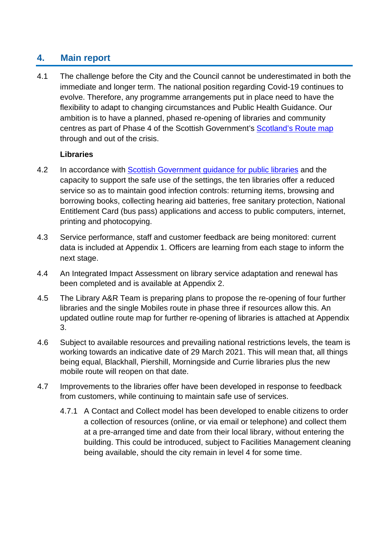# **4. Main report**

4.1 The challenge before the City and the Council cannot be underestimated in both the immediate and longer term. The national position regarding Covid-19 continues to evolve. Therefore, any programme arrangements put in place need to have the flexibility to adapt to changing circumstances and Public Health Guidance. Our ambition is to have a planned, phased re-opening of libraries and community centres as part of Phase 4 of the Scottish Government's [Scotland's Route map](https://www.gov.scot/collections/coronavirus-covid-19-scotlands-route-map/) through and out of the crisis.

# **Libraries**

- 4.2 In accordance with [Scottish Government guidance](https://www.gov.scot/publications/coronavirus-covid-19-public-libraries-guidance/) for public libraries and the capacity to support the safe use of the settings, the ten libraries offer a reduced service so as to maintain good infection controls: returning items, browsing and borrowing books, collecting hearing aid batteries, free sanitary protection, National Entitlement Card (bus pass) applications and access to public computers, internet, printing and photocopying.
- 4.3 Service performance, staff and customer feedback are being monitored: current data is included at Appendix 1. Officers are learning from each stage to inform the next stage.
- 4.4 An Integrated Impact Assessment on library service adaptation and renewal has been completed and is available at Appendix 2.
- 4.5 The Library A&R Team is preparing plans to propose the re-opening of four further libraries and the single Mobiles route in phase three if resources allow this. An updated outline route map for further re-opening of libraries is attached at Appendix 3.
- 4.6 Subject to available resources and prevailing national restrictions levels, the team is working towards an indicative date of 29 March 2021. This will mean that, all things being equal, Blackhall, Piershill, Morningside and Currie libraries plus the new mobile route will reopen on that date.
- 4.7 Improvements to the libraries offer have been developed in response to feedback from customers, while continuing to maintain safe use of services.
	- 4.7.1 A Contact and Collect model has been developed to enable citizens to order a collection of resources (online, or via email or telephone) and collect them at a pre-arranged time and date from their local library, without entering the building. This could be introduced, subject to Facilities Management cleaning being available, should the city remain in level 4 for some time.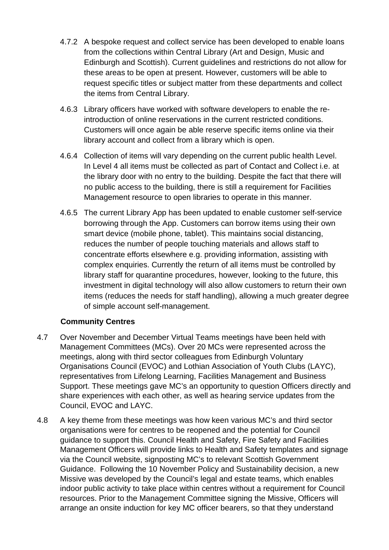- 4.7.2 A bespoke request and collect service has been developed to enable loans from the collections within Central Library (Art and Design, Music and Edinburgh and Scottish). Current guidelines and restrictions do not allow for these areas to be open at present. However, customers will be able to request specific titles or subject matter from these departments and collect the items from Central Library.
- 4.6.3 Library officers have worked with software developers to enable the reintroduction of online reservations in the current restricted conditions. Customers will once again be able reserve specific items online via their library account and collect from a library which is open.
- 4.6.4 Collection of items will vary depending on the current public health Level. In Level 4 all items must be collected as part of Contact and Collect i.e. at the library door with no entry to the building. Despite the fact that there will no public access to the building, there is still a requirement for Facilities Management resource to open libraries to operate in this manner.
- 4.6.5 The current Library App has been updated to enable customer self-service borrowing through the App. Customers can borrow items using their own smart device (mobile phone, tablet). This maintains social distancing, reduces the number of people touching materials and allows staff to concentrate efforts elsewhere e.g. providing information, assisting with complex enquiries. Currently the return of all items must be controlled by library staff for quarantine procedures, however, looking to the future, this investment in digital technology will also allow customers to return their own items (reduces the needs for staff handling), allowing a much greater degree of simple account self-management.

# **Community Centres**

- 4.7 Over November and December Virtual Teams meetings have been held with Management Committees (MCs). Over 20 MCs were represented across the meetings, along with third sector colleagues from Edinburgh Voluntary Organisations Council (EVOC) and Lothian Association of Youth Clubs (LAYC), representatives from Lifelong Learning, Facilities Management and Business Support. These meetings gave MC's an opportunity to question Officers directly and share experiences with each other, as well as hearing service updates from the Council, EVOC and LAYC.
- 4.8 A key theme from these meetings was how keen various MC's and third sector organisations were for centres to be reopened and the potential for Council guidance to support this. Council Health and Safety, Fire Safety and Facilities Management Officers will provide links to Health and Safety templates and signage via the Council website, signposting MC's to relevant Scottish Government Guidance. Following the 10 November Policy and Sustainability decision, a new Missive was developed by the Council's legal and estate teams, which enables indoor public activity to take place within centres without a requirement for Council resources. Prior to the Management Committee signing the Missive, Officers will arrange an onsite induction for key MC officer bearers, so that they understand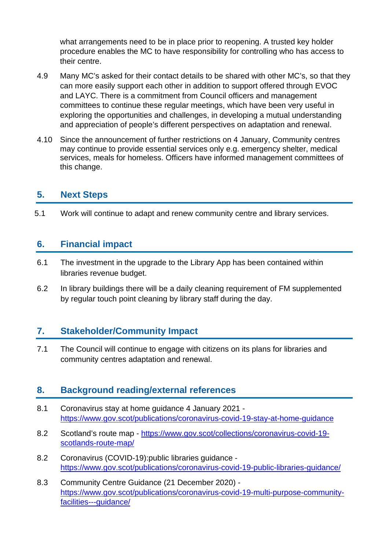what arrangements need to be in place prior to reopening. A trusted key holder procedure enables the MC to have responsibility for controlling who has access to their centre.

- 4.9 Many MC's asked for their contact details to be shared with other MC's, so that they can more easily support each other in addition to support offered through EVOC and LAYC. There is a commitment from Council officers and management committees to continue these regular meetings, which have been very useful in exploring the opportunities and challenges, in developing a mutual understanding and appreciation of people's different perspectives on adaptation and renewal.
- 4.10 Since the announcement of further restrictions on 4 January, Community centres may continue to provide essential services only e.g. emergency shelter, medical services, meals for homeless. Officers have informed management committees of this change.

# **5. Next Steps**

5.1 Work will continue to adapt and renew community centre and library services.

# **6. Financial impact**

- 6.1 The investment in the upgrade to the Library App has been contained within libraries revenue budget.
- 6.2 In library buildings there will be a daily cleaning requirement of FM supplemented by regular touch point cleaning by library staff during the day.

# **7. Stakeholder/Community Impact**

7.1 The Council will continue to engage with citizens on its plans for libraries and community centres adaptation and renewal.

# **8. Background reading/external references**

- 8.1 Coronavirus stay at home guidance 4 January 2021 <https://www.gov.scot/publications/coronavirus-covid-19-stay-at-home-guidance>
- 8.2 Scotland's route map [https://www.gov.scot/collections/coronavirus-covid-19](https://www.gov.scot/collections/coronavirus-covid-19-scotlands-route-map/) [scotlands-route-map/](https://www.gov.scot/collections/coronavirus-covid-19-scotlands-route-map/)
- 8.2 Coronavirus (COVID-19):public libraries guidance <https://www.gov.scot/publications/coronavirus-covid-19-public-libraries-guidance/>
- 8.3 Community Centre Guidance (21 December 2020) [https://www.gov.scot/publications/coronavirus-covid-19-multi-purpose-community](https://www.gov.scot/publications/coronavirus-covid-19-multi-purpose-community-facilities---guidance/)[facilities---guidance/](https://www.gov.scot/publications/coronavirus-covid-19-multi-purpose-community-facilities---guidance/)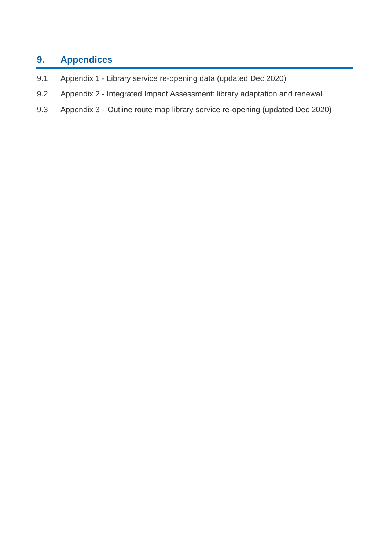# **9. Appendices**

- 9.1 Appendix 1 Library service re-opening data (updated Dec 2020)
- 9.2 Appendix 2 Integrated Impact Assessment: library adaptation and renewal
- 9.3 Appendix 3 Outline route map library service re-opening (updated Dec 2020)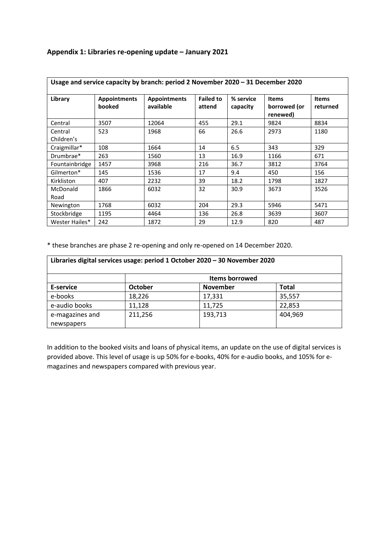## **Appendix 1: Libraries re-opening update – January 2021**

| Usage and service capacity by branch: period 2 November 2020 - 31 December 2020 |                               |                                  |                            |                       |                                          |                          |
|---------------------------------------------------------------------------------|-------------------------------|----------------------------------|----------------------------|-----------------------|------------------------------------------|--------------------------|
| Library                                                                         | <b>Appointments</b><br>booked | <b>Appointments</b><br>available | <b>Failed to</b><br>attend | % service<br>capacity | <b>Items</b><br>borrowed (or<br>renewed) | <b>Items</b><br>returned |
| Central                                                                         | 3507                          | 12064                            | 455                        | 29.1                  | 9824                                     | 8834                     |
| Central<br>Children's                                                           | 523                           | 1968                             | 66                         | 26.6                  | 2973                                     | 1180                     |
| Craigmillar*                                                                    | 108                           | 1664                             | 14                         | 6.5                   | 343                                      | 329                      |
| Drumbrae*                                                                       | 263                           | 1560                             | 13                         | 16.9                  | 1166                                     | 671                      |
| Fountainbridge                                                                  | 1457                          | 3968                             | 216                        | 36.7                  | 3812                                     | 3764                     |
| Gilmerton*                                                                      | 145                           | 1536                             | 17                         | 9.4                   | 450                                      | 156                      |
| Kirkliston                                                                      | 407                           | 2232                             | 39                         | 18.2                  | 1798                                     | 1827                     |
| McDonald<br>Road                                                                | 1866                          | 6032                             | 32                         | 30.9                  | 3673                                     | 3526                     |
| Newington                                                                       | 1768                          | 6032                             | 204                        | 29.3                  | 5946                                     | 5471                     |
| Stockbridge                                                                     | 1195                          | 4464                             | 136                        | 26.8                  | 3639                                     | 3607                     |
| Wester Hailes*                                                                  | 242                           | 1872                             | 29                         | 12.9                  | 820                                      | 487                      |

\* these branches are phase 2 re-opening and only re-opened on 14 December 2020.

| Libraries digital services usage: period 1 October 2020 - 30 November 2020 |                |                 |              |
|----------------------------------------------------------------------------|----------------|-----------------|--------------|
|                                                                            | Items borrowed |                 |              |
| E-service                                                                  | <b>October</b> | <b>November</b> | <b>Total</b> |
| e-books                                                                    | 18,226         | 17,331          | 35,557       |
| e-audio books                                                              | 11,128         | 11,725          | 22,853       |
| e-magazines and                                                            | 211,256        | 193,713         | 404,969      |
| newspapers                                                                 |                |                 |              |

In addition to the booked visits and loans of physical items, an update on the use of digital services is provided above. This level of usage is up 50% for e-books, 40% for e-audio books, and 105% for emagazines and newspapers compared with previous year.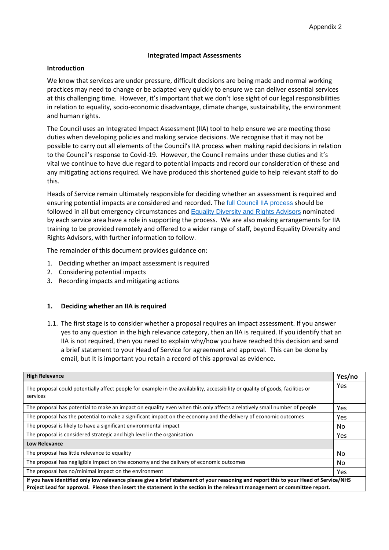### **Integrated Impact Assessments**

#### **Introduction**

We know that services are under pressure, difficult decisions are being made and normal working practices may need to change or be adapted very quickly to ensure we can deliver essential services at this challenging time. However, it's important that we don't lose sight of our legal responsibilities in relation to equality, socio-economic disadvantage, climate change, sustainability, the environment and human rights.

The Council uses an Integrated Impact Assessment (IIA) tool to help ensure we are meeting those duties when developing policies and making service decisions. We recognise that it may not be possible to carry out all elements of the Council's IIA process when making rapid decisions in relation to the Council's response to Covid-19. However, the Council remains under these duties and it's vital we continue to have due regard to potential impacts and record our consideration of these and any mitigating actions required. We have produced this shortened guide to help relevant staff to do this.

Heads of Service remain ultimately responsible for deciding whether an assessment is required and ensuring potential impacts are considered and recorded. The *[full Council IIA process](https://orb.edinburgh.gov.uk/equalities/equalities-1/2)* should be followed in all but emergency circumstances and [Equality Diversity and Rights Advisors](https://orb.edinburgh.gov.uk/equalities/equalities-1/2) nominated by each service area have a role in supporting the process. We are also making arrangements for IIA training to be provided remotely and offered to a wider range of staff, beyond Equality Diversity and Rights Advisors, with further information to follow.

The remainder of this document provides guidance on:

- 1. Deciding whether an impact assessment is required
- 2. Considering potential impacts
- 3. Recording impacts and mitigating actions

### **1. Deciding whether an IIA is required**

1.1. The first stage is to consider whether a proposal requires an impact assessment. If you answer yes to any question in the high relevance category, then an IIA is required. If you identify that an IIA is not required, then you need to explain why/how you have reached this decision and send a brief statement to your Head of Service for agreement and approval. This can be done by email, but It is important you retain a record of this approval as evidence.

| <b>High Relevance</b>                                                                                                                                                                                                                                               | Yes/no     |  |
|---------------------------------------------------------------------------------------------------------------------------------------------------------------------------------------------------------------------------------------------------------------------|------------|--|
| The proposal could potentially affect people for example in the availability, accessibility or quality of goods, facilities or<br>services                                                                                                                          | Yes        |  |
| The proposal has potential to make an impact on equality even when this only affects a relatively small number of people                                                                                                                                            | Yes        |  |
| The proposal has the potential to make a significant impact on the economy and the delivery of economic outcomes                                                                                                                                                    | Yes        |  |
| The proposal is likely to have a significant environmental impact                                                                                                                                                                                                   | No.        |  |
| The proposal is considered strategic and high level in the organisation                                                                                                                                                                                             | <b>Yes</b> |  |
| <b>Low Relevance</b>                                                                                                                                                                                                                                                |            |  |
| The proposal has little relevance to equality                                                                                                                                                                                                                       | No.        |  |
| The proposal has negligible impact on the economy and the delivery of economic outcomes                                                                                                                                                                             | No.        |  |
| The proposal has no/minimal impact on the environment                                                                                                                                                                                                               | Yes        |  |
| If you have identified only low relevance please give a brief statement of your reasoning and report this to your Head of Service/NHS<br>Project Lead for approval. Please then insert the statement in the section in the relevant management or committee report. |            |  |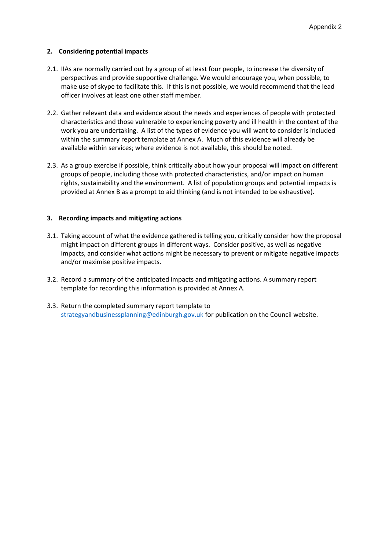## **2. Considering potential impacts**

- 2.1. IIAs are normally carried out by a group of at least four people, to increase the diversity of perspectives and provide supportive challenge. We would encourage you, when possible, to make use of skype to facilitate this. If this is not possible, we would recommend that the lead officer involves at least one other staff member.
- 2.2. Gather relevant data and evidence about the needs and experiences of people with protected characteristics and those vulnerable to experiencing poverty and ill health in the context of the work you are undertaking. A list of the types of evidence you will want to consider is included within the summary report template at Annex A. Much of this evidence will already be available within services; where evidence is not available, this should be noted.
- 2.3. As a group exercise if possible, think critically about how your proposal will impact on different groups of people, including those with protected characteristics, and/or impact on human rights, sustainability and the environment. A list of population groups and potential impacts is provided at Annex B as a prompt to aid thinking (and is not intended to be exhaustive).

## **3. Recording impacts and mitigating actions**

- 3.1. Taking account of what the evidence gathered is telling you, critically consider how the proposal might impact on different groups in different ways. Consider positive, as well as negative impacts, and consider what actions might be necessary to prevent or mitigate negative impacts and/or maximise positive impacts.
- 3.2. Record a summary of the anticipated impacts and mitigating actions. A summary report template for recording this information is provided at Annex A.
- 3.3. Return the completed summary report template to [strategyandbusinessplanning@edinburgh.gov.uk](mailto:strategyandbusinessplanning@edinburgh.gov.uk) for publication on the Council website.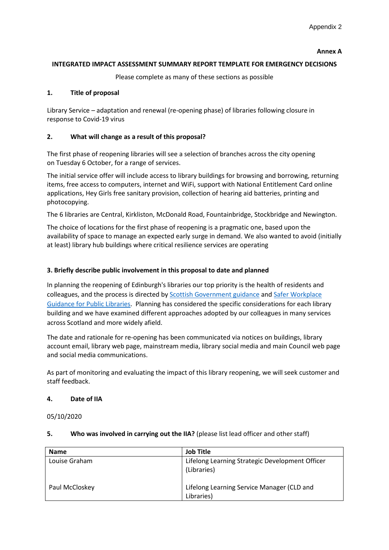#### **Annex A**

## **INTEGRATED IMPACT ASSESSMENT SUMMARY REPORT TEMPLATE FOR EMERGENCY DECISIONS**

Please complete as many of these sections as possible

## **1. Title of proposal**

Library Service – adaptation and renewal (re-opening phase) of libraries following closure in response to Covid-19 virus

## **2. What will change as a result of this proposal?**

The first phase of reopening libraries will see a selection of branches across the city opening on Tuesday 6 October, for a range of services.

The initial service offer will include access to library buildings for browsing and borrowing, returning items, free access to computers, internet and WiFi, support with National Entitlement Card online applications, Hey Girls free sanitary provision, collection of hearing aid batteries, printing and photocopying.

The 6 libraries are Central, Kirkliston, McDonald Road, Fountainbridge, Stockbridge and Newington.

The choice of locations for the first phase of reopening is a pragmatic one, based upon the availability of space to manage an expected early surge in demand. We also wanted to avoid (initially at least) library hub buildings where critical resilience services are operating

## **3. Briefly describe public involvement in this proposal to date and planned**

In planning the reopening of Edinburgh's libraries our top priority is the health of residents and colleagues, and the process is directed by [Scottish Government guidance](https://www.gov.scot/coronavirus-covid-19/) and [Safer Workplace](https://www.gov.scot/publications/coronavirus-covid-19-public-libraries-guidance/)  [Guidance for Public Libraries.](https://www.gov.scot/publications/coronavirus-covid-19-public-libraries-guidance/) Planning has considered the specific considerations for each library building and we have examined different approaches adopted by our colleagues in many services across Scotland and more widely afield.

The date and rationale for re-opening has been communicated via notices on buildings, library account email, library web page, mainstream media, library social media and main Council web page and social media communications.

As part of monitoring and evaluating the impact of this library reopening, we will seek customer and staff feedback.

### **4. Date of IIA**

05/10/2020

| <b>Name</b>    | <b>Job Title</b>                                               |
|----------------|----------------------------------------------------------------|
| Louise Graham  | Lifelong Learning Strategic Development Officer<br>(Libraries) |
| Paul McCloskey | Lifelong Learning Service Manager (CLD and<br>Libraries)       |

## **5. Who was involved in carrying out the IIA?** (please list lead officer and other staff)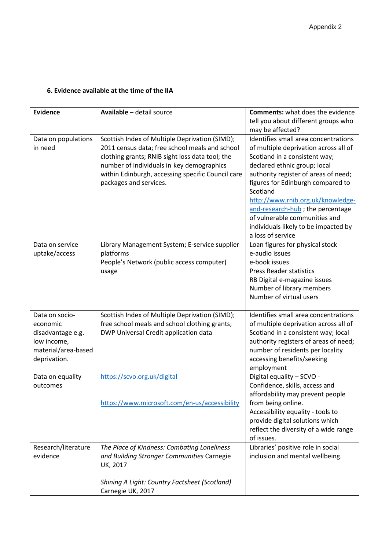## **6. Evidence available at the time of the IIA**

| <b>Evidence</b>                                                         | Available - detail source                                                                                                                                                                                                                                                       | <b>Comments:</b> what does the evidence                                                                                                                                                                                                                                                                                                                                                                        |
|-------------------------------------------------------------------------|---------------------------------------------------------------------------------------------------------------------------------------------------------------------------------------------------------------------------------------------------------------------------------|----------------------------------------------------------------------------------------------------------------------------------------------------------------------------------------------------------------------------------------------------------------------------------------------------------------------------------------------------------------------------------------------------------------|
|                                                                         |                                                                                                                                                                                                                                                                                 | tell you about different groups who                                                                                                                                                                                                                                                                                                                                                                            |
|                                                                         |                                                                                                                                                                                                                                                                                 | may be affected?                                                                                                                                                                                                                                                                                                                                                                                               |
| Data on populations<br>in need                                          | Scottish Index of Multiple Deprivation (SIMD);<br>2011 census data; free school meals and school<br>clothing grants; RNIB sight loss data tool; the<br>number of individuals in key demographics<br>within Edinburgh, accessing specific Council care<br>packages and services. | Identifies small area concentrations<br>of multiple deprivation across all of<br>Scotland in a consistent way;<br>declared ethnic group; local<br>authority register of areas of need;<br>figures for Edinburgh compared to<br>Scotland<br>http://www.rnib.org.uk/knowledge-<br>and-research-hub; the percentage<br>of vulnerable communities and<br>individuals likely to be impacted by<br>a loss of service |
| Data on service<br>uptake/access                                        | Library Management System; E-service supplier<br>platforms<br>People's Network (public access computer)<br>usage                                                                                                                                                                | Loan figures for physical stock<br>e-audio issues<br>e-book issues<br><b>Press Reader statistics</b><br>RB Digital e-magazine issues<br>Number of library members<br>Number of virtual users                                                                                                                                                                                                                   |
| Data on socio-<br>economic                                              | Scottish Index of Multiple Deprivation (SIMD);<br>free school meals and school clothing grants;                                                                                                                                                                                 | Identifies small area concentrations<br>of multiple deprivation across all of                                                                                                                                                                                                                                                                                                                                  |
| disadvantage e.g.<br>low income,<br>material/area-based<br>deprivation. | DWP Universal Credit application data                                                                                                                                                                                                                                           | Scotland in a consistent way; local<br>authority registers of areas of need;<br>number of residents per locality<br>accessing benefits/seeking<br>employment                                                                                                                                                                                                                                                   |
| Data on equality<br>outcomes                                            | https://scvo.org.uk/digital                                                                                                                                                                                                                                                     | Digital equality - SCVO -<br>Confidence, skills, access and<br>affordability may prevent people                                                                                                                                                                                                                                                                                                                |
|                                                                         | https://www.microsoft.com/en-us/accessibility                                                                                                                                                                                                                                   | from being online.<br>Accessibility equality - tools to<br>provide digital solutions which<br>reflect the diversity of a wide range<br>of issues.                                                                                                                                                                                                                                                              |
| Research/literature<br>evidence                                         | The Place of Kindness: Combating Loneliness<br>and Building Stronger Communities Carnegie<br>UK, 2017                                                                                                                                                                           | Libraries' positive role in social<br>inclusion and mental wellbeing.                                                                                                                                                                                                                                                                                                                                          |
|                                                                         | Shining A Light: Country Factsheet (Scotland)<br>Carnegie UK, 2017                                                                                                                                                                                                              |                                                                                                                                                                                                                                                                                                                                                                                                                |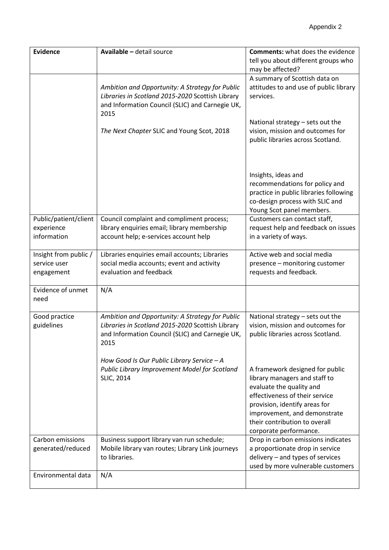| <b>Evidence</b>                                     | Available - detail source                                                                                                                                                                                    | <b>Comments:</b> what does the evidence<br>tell you about different groups who                                                                                                                                                                             |
|-----------------------------------------------------|--------------------------------------------------------------------------------------------------------------------------------------------------------------------------------------------------------------|------------------------------------------------------------------------------------------------------------------------------------------------------------------------------------------------------------------------------------------------------------|
|                                                     |                                                                                                                                                                                                              | may be affected?                                                                                                                                                                                                                                           |
|                                                     | Ambition and Opportunity: A Strategy for Public<br>Libraries in Scotland 2015-2020 Scottish Library<br>and Information Council (SLIC) and Carnegie UK,<br>2015<br>The Next Chapter SLIC and Young Scot, 2018 | A summary of Scottish data on<br>attitudes to and use of public library<br>services.<br>National strategy - sets out the<br>vision, mission and outcomes for<br>public libraries across Scotland.                                                          |
|                                                     |                                                                                                                                                                                                              | Insights, ideas and<br>recommendations for policy and<br>practice in public libraries following<br>co-design process with SLIC and<br>Young Scot panel members.                                                                                            |
| Public/patient/client<br>experience                 | Council complaint and compliment process;<br>library enquiries email; library membership                                                                                                                     | Customers can contact staff,<br>request help and feedback on issues                                                                                                                                                                                        |
| information                                         | account help; e-services account help                                                                                                                                                                        | in a variety of ways.                                                                                                                                                                                                                                      |
|                                                     |                                                                                                                                                                                                              |                                                                                                                                                                                                                                                            |
| Insight from public /<br>service user<br>engagement | Libraries enquiries email accounts; Libraries<br>social media accounts; event and activity<br>evaluation and feedback                                                                                        | Active web and social media<br>presence - monitoring customer<br>requests and feedback.                                                                                                                                                                    |
| Evidence of unmet<br>need                           | N/A                                                                                                                                                                                                          |                                                                                                                                                                                                                                                            |
| Good practice<br>guidelines                         | Ambition and Opportunity: A Strategy for Public<br>Libraries in Scotland 2015-2020 Scottish Library<br>and Information Council (SLIC) and Carnegie UK,<br>2015                                               | National strategy - sets out the<br>vision, mission and outcomes for<br>public libraries across Scotland.                                                                                                                                                  |
|                                                     | How Good Is Our Public Library Service - A<br>Public Library Improvement Model for Scotland<br><b>SLIC, 2014</b>                                                                                             | A framework designed for public<br>library managers and staff to<br>evaluate the quality and<br>effectiveness of their service<br>provision, identify areas for<br>improvement, and demonstrate<br>their contribution to overall<br>corporate performance. |
| Carbon emissions<br>generated/reduced               | Business support library van run schedule;<br>Mobile library van routes; Library Link journeys<br>to libraries.                                                                                              | Drop in carbon emissions indicates<br>a proportionate drop in service<br>delivery - and types of services<br>used by more vulnerable customers                                                                                                             |
| Environmental data                                  | N/A                                                                                                                                                                                                          |                                                                                                                                                                                                                                                            |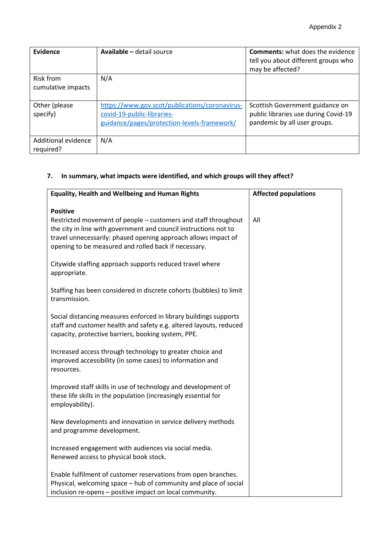| Evidence                         | Available - detail source                                                                                                   | <b>Comments:</b> what does the evidence<br>tell you about different groups who<br>may be affected?      |
|----------------------------------|-----------------------------------------------------------------------------------------------------------------------------|---------------------------------------------------------------------------------------------------------|
| Risk from<br>cumulative impacts  | N/A                                                                                                                         |                                                                                                         |
| Other (please<br>specify)        | https://www.gov.scot/publications/coronavirus-<br>covid-19-public-libraries-<br>guidance/pages/protection-levels-framework/ | Scottish Government guidance on<br>public libraries use during Covid-19<br>pandemic by all user groups. |
| Additional evidence<br>required? | N/A                                                                                                                         |                                                                                                         |

# **7. In summary, what impacts were identified, and which groups will they affect?**

| <b>Equality, Health and Wellbeing and Human Rights</b>                                                                                                                                                                                                                          | <b>Affected populations</b> |
|---------------------------------------------------------------------------------------------------------------------------------------------------------------------------------------------------------------------------------------------------------------------------------|-----------------------------|
| <b>Positive</b><br>Restricted movement of people – customers and staff throughout<br>the city in line with government and council instructions not to<br>travel unnecessarily: phased opening approach allows impact of<br>opening to be measured and rolled back if necessary. | All                         |
| Citywide staffing approach supports reduced travel where<br>appropriate.                                                                                                                                                                                                        |                             |
| Staffing has been considered in discrete cohorts (bubbles) to limit<br>transmission.                                                                                                                                                                                            |                             |
| Social distancing measures enforced in library buildings supports<br>staff and customer health and safety e.g. altered layouts, reduced<br>capacity, protective barriers, booking system, PPE.                                                                                  |                             |
| Increased access through technology to greater choice and<br>improved accessibility (in some cases) to information and<br>resources.                                                                                                                                            |                             |
| Improved staff skills in use of technology and development of<br>these life skills in the population (increasingly essential for<br>employability).                                                                                                                             |                             |
| New developments and innovation in service delivery methods<br>and programme development.                                                                                                                                                                                       |                             |
| Increased engagement with audiences via social media.<br>Renewed access to physical book stock.                                                                                                                                                                                 |                             |
| Enable fulfilment of customer reservations from open branches.<br>Physical, welcoming space - hub of community and place of social<br>inclusion re-opens - positive impact on local community.                                                                                  |                             |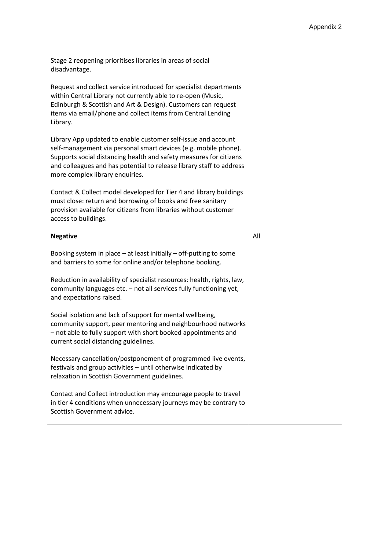| Stage 2 reopening prioritises libraries in areas of social<br>disadvantage.                                                                                                                                                                                                                                       |     |
|-------------------------------------------------------------------------------------------------------------------------------------------------------------------------------------------------------------------------------------------------------------------------------------------------------------------|-----|
| Request and collect service introduced for specialist departments<br>within Central Library not currently able to re-open (Music,<br>Edinburgh & Scottish and Art & Design). Customers can request<br>items via email/phone and collect items from Central Lending<br>Library.                                    |     |
| Library App updated to enable customer self-issue and account<br>self-management via personal smart devices (e.g. mobile phone).<br>Supports social distancing health and safety measures for citizens<br>and colleagues and has potential to release library staff to address<br>more complex library enquiries. |     |
| Contact & Collect model developed for Tier 4 and library buildings<br>must close: return and borrowing of books and free sanitary<br>provision available for citizens from libraries without customer<br>access to buildings.                                                                                     |     |
| <b>Negative</b>                                                                                                                                                                                                                                                                                                   | All |
| Booking system in place $-$ at least initially $-$ off-putting to some<br>and barriers to some for online and/or telephone booking.                                                                                                                                                                               |     |
| Reduction in availability of specialist resources: health, rights, law,<br>community languages etc. - not all services fully functioning yet,<br>and expectations raised.                                                                                                                                         |     |
| Social isolation and lack of support for mental wellbeing,<br>community support, peer mentoring and neighbourhood networks<br>- not able to fully support with short booked appointments and<br>current social distancing guidelines.                                                                             |     |
| Necessary cancellation/postponement of programmed live events,<br>festivals and group activities - until otherwise indicated by<br>relaxation in Scottish Government guidelines.                                                                                                                                  |     |
| Contact and Collect introduction may encourage people to travel<br>in tier 4 conditions when unnecessary journeys may be contrary to<br>Scottish Government advice.                                                                                                                                               |     |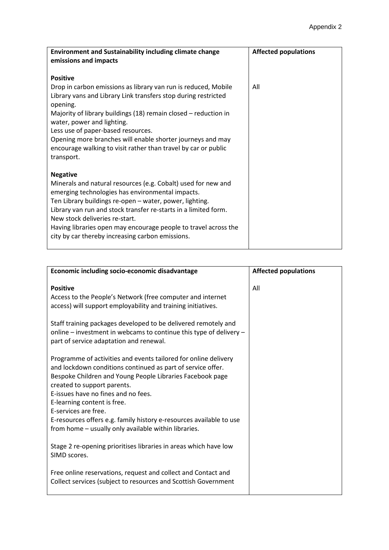| <b>Environment and Sustainability including climate change</b><br>emissions and impacts                                                                                                                                                                                                                                                                                                                                     | <b>Affected populations</b> |
|-----------------------------------------------------------------------------------------------------------------------------------------------------------------------------------------------------------------------------------------------------------------------------------------------------------------------------------------------------------------------------------------------------------------------------|-----------------------------|
| <b>Positive</b>                                                                                                                                                                                                                                                                                                                                                                                                             |                             |
| Drop in carbon emissions as library van run is reduced, Mobile<br>Library vans and Library Link transfers stop during restricted<br>opening.                                                                                                                                                                                                                                                                                | All                         |
| Majority of library buildings (18) remain closed – reduction in<br>water, power and lighting.                                                                                                                                                                                                                                                                                                                               |                             |
| Less use of paper-based resources.<br>Opening more branches will enable shorter journeys and may                                                                                                                                                                                                                                                                                                                            |                             |
| encourage walking to visit rather than travel by car or public<br>transport.                                                                                                                                                                                                                                                                                                                                                |                             |
| <b>Negative</b><br>Minerals and natural resources (e.g. Cobalt) used for new and<br>emerging technologies has environmental impacts.<br>Ten Library buildings re-open - water, power, lighting.<br>Library van run and stock transfer re-starts in a limited form.<br>New stock deliveries re-start.<br>Having libraries open may encourage people to travel across the<br>city by car thereby increasing carbon emissions. |                             |

| Economic including socio-economic disadvantage                                                                                                                                                                                                                                                                                                                                                                                                          | <b>Affected populations</b> |
|---------------------------------------------------------------------------------------------------------------------------------------------------------------------------------------------------------------------------------------------------------------------------------------------------------------------------------------------------------------------------------------------------------------------------------------------------------|-----------------------------|
| <b>Positive</b><br>Access to the People's Network (free computer and internet<br>access) will support employability and training initiatives.                                                                                                                                                                                                                                                                                                           | All                         |
| Staff training packages developed to be delivered remotely and<br>online – investment in webcams to continue this type of delivery –<br>part of service adaptation and renewal.                                                                                                                                                                                                                                                                         |                             |
| Programme of activities and events tailored for online delivery<br>and lockdown conditions continued as part of service offer.<br>Bespoke Children and Young People Libraries Facebook page<br>created to support parents.<br>E-issues have no fines and no fees.<br>E-learning content is free.<br>E-services are free.<br>E-resources offers e.g. family history e-resources available to use<br>from home - usually only available within libraries. |                             |
| Stage 2 re-opening prioritises libraries in areas which have low<br>SIMD scores.                                                                                                                                                                                                                                                                                                                                                                        |                             |
| Free online reservations, request and collect and Contact and<br>Collect services (subject to resources and Scottish Government                                                                                                                                                                                                                                                                                                                         |                             |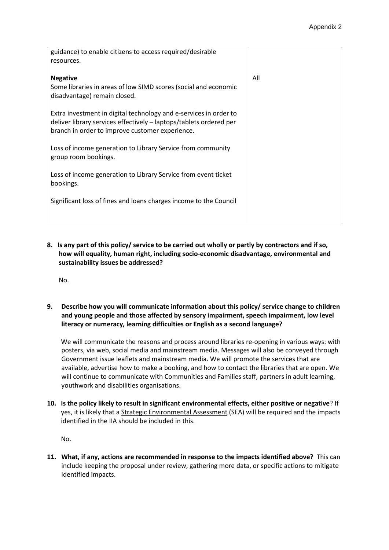| guidance) to enable citizens to access required/desirable          |     |
|--------------------------------------------------------------------|-----|
| resources.                                                         |     |
|                                                                    |     |
|                                                                    |     |
| <b>Negative</b>                                                    | All |
|                                                                    |     |
| Some libraries in areas of low SIMD scores (social and economic    |     |
| disadvantage) remain closed.                                       |     |
|                                                                    |     |
|                                                                    |     |
| Extra investment in digital technology and e-services in order to  |     |
|                                                                    |     |
| deliver library services effectively - laptops/tablets ordered per |     |
| branch in order to improve customer experience.                    |     |
|                                                                    |     |
|                                                                    |     |
| Loss of income generation to Library Service from community        |     |
| group room bookings.                                               |     |
|                                                                    |     |
|                                                                    |     |
| Loss of income generation to Library Service from event ticket     |     |
|                                                                    |     |
| bookings.                                                          |     |
|                                                                    |     |
|                                                                    |     |
| Significant loss of fines and loans charges income to the Council  |     |
|                                                                    |     |
|                                                                    |     |
|                                                                    |     |

**8. Is any part of this policy/ service to be carried out wholly or partly by contractors and if so, how will equality, human right, including socio-economic disadvantage, environmental and sustainability issues be addressed?**

No.

**9. Describe how you will communicate information about this policy/ service change to children and young people and those affected by sensory impairment, speech impairment, low level literacy or numeracy, learning difficulties or English as a second language?** 

We will communicate the reasons and process around libraries re-opening in various ways: with posters, via web, social media and mainstream media. Messages will also be conveyed through Government issue leaflets and mainstream media. We will promote the services that are available, advertise how to make a booking, and how to contact the libraries that are open. We will continue to communicate with Communities and Families staff, partners in adult learning, youthwork and disabilities organisations.

**10. Is the policy likely to result in significant environmental effects, either positive or negative**? If yes, it is likely that [a Strategic Environmental Assessment](https://www.gov.scot/policies/environmental-assessment/strategic-environmental-assessment-sea/) (SEA) will be required and the impacts identified in the IIA should be included in this.

No.

**11. What, if any, actions are recommended in response to the impacts identified above?** This can include keeping the proposal under review, gathering more data, or specific actions to mitigate identified impacts.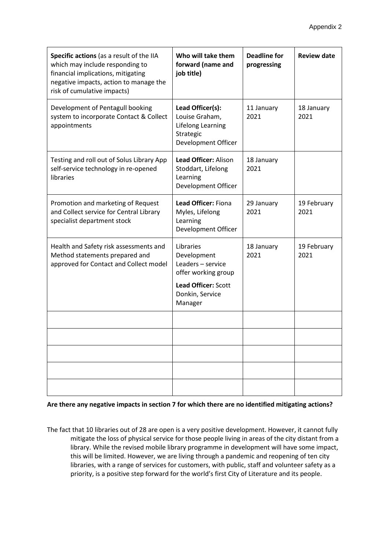| Specific actions (as a result of the IIA<br>which may include responding to<br>financial implications, mitigating<br>negative impacts, action to manage the<br>risk of cumulative impacts) | Who will take them<br>forward (name and<br>job title)                                                                     | <b>Deadline for</b><br>progressing | <b>Review date</b>  |
|--------------------------------------------------------------------------------------------------------------------------------------------------------------------------------------------|---------------------------------------------------------------------------------------------------------------------------|------------------------------------|---------------------|
| Development of Pentagull booking<br>system to incorporate Contact & Collect<br>appointments                                                                                                | Lead Officer(s):<br>Louise Graham,<br>Lifelong Learning<br>Strategic<br>Development Officer                               | 11 January<br>2021                 | 18 January<br>2021  |
| Testing and roll out of Solus Library App<br>self-service technology in re-opened<br>libraries                                                                                             | Lead Officer: Alison<br>Stoddart, Lifelong<br>Learning<br>Development Officer                                             | 18 January<br>2021                 |                     |
| Promotion and marketing of Request<br>and Collect service for Central Library<br>specialist department stock                                                                               | <b>Lead Officer: Fiona</b><br>Myles, Lifelong<br>Learning<br>Development Officer                                          | 29 January<br>2021                 | 19 February<br>2021 |
| Health and Safety risk assessments and<br>Method statements prepared and<br>approved for Contact and Collect model                                                                         | Libraries<br>Development<br>Leaders - service<br>offer working group<br>Lead Officer: Scott<br>Donkin, Service<br>Manager | 18 January<br>2021                 | 19 February<br>2021 |
|                                                                                                                                                                                            |                                                                                                                           |                                    |                     |
|                                                                                                                                                                                            |                                                                                                                           |                                    |                     |
|                                                                                                                                                                                            |                                                                                                                           |                                    |                     |
|                                                                                                                                                                                            |                                                                                                                           |                                    |                     |
|                                                                                                                                                                                            |                                                                                                                           |                                    |                     |

**Are there any negative impacts in section 7 for which there are no identified mitigating actions?**

The fact that 10 libraries out of 28 are open is a very positive development. However, it cannot fully mitigate the loss of physical service for those people living in areas of the city distant from a library. While the revised mobile library programme in development will have some impact, this will be limited. However, we are living through a pandemic and reopening of ten city libraries, with a range of services for customers, with public, staff and volunteer safety as a priority, is a positive step forward for the world's first City of Literature and its people.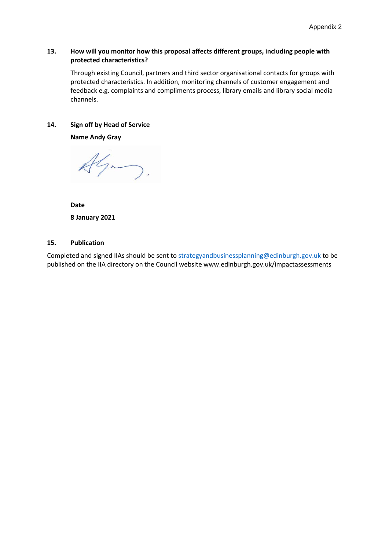## **13. How will you monitor how this proposal affects different groups, including people with protected characteristics?**

Through existing Council, partners and third sector organisational contacts for groups with protected characteristics. In addition, monitoring channels of customer engagement and feedback e.g. complaints and compliments process, library emails and library social media channels.

## **14. Sign off by Head of Service**

**Name Andy Gray**

 $A\mathcal{G}_{\sim}$ 

**Date 8 January 2021**

## **15. Publication**

Completed and signed IIAs should be sent to [strategyandbusinessplanning@edinburgh.gov.uk](mailto:strategyandbusinessplanning@edinburgh.gov.uk) to be published on the IIA directory on the Council websit[e www.edinburgh.gov.uk/impactassessments](http://www.edinburgh.gov.uk/impactassessments)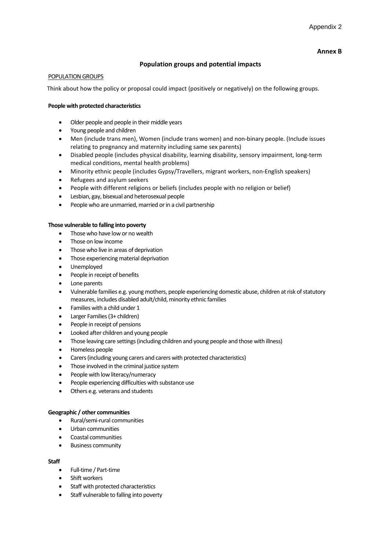#### **Annex B**

## **Population groups and potential impacts**

#### POPULATION GROUPS

Think about how the policy or proposal could impact (positively or negatively) on the following groups.

#### **People with protected characteristics**

- Older people and people in their middle years
- Young people and children
- Men (include trans men), Women (include trans women) and non-binary people. (Include issues relating to pregnancy and maternity including same sex parents)
- Disabled people (includes physical disability, learning disability, sensory impairment, long-term medical conditions, mental health problems)
- Minority ethnic people (includes Gypsy/Travellers, migrant workers, non-English speakers)
- Refugees and asylum seekers
- People with different religions or beliefs (includes people with no religion or belief)
- Lesbian, gay, bisexual and heterosexual people
- People who are unmarried, married or in a civil partnership

#### **Those vulnerable to falling into poverty**

- Those who have low or no wealth
- Those on low income
- Those who live in areas of deprivation
- Those experiencing material deprivation
- Unemployed
- People in receipt of benefits
- Lone parents
- Vulnerable families e.g. young mothers, people experiencing domestic abuse, children at risk of statutory measures, includes disabled adult/child, minority ethnic families
- Families with a child under 1
- Larger Families (3+ children)
- People in receipt of pensions
- Looked after children and young people
- Those leaving care settings (including children and young people and those with illness)
- Homeless people
- Carers (including young carers and carers with protected characteristics)
- Those involved in the criminal justice system
- People with low literacy/numeracy
- People experiencing difficulties with substance use
- Others e.g. veterans and students

#### **Geographic / other communities**

- Rural/semi-rural communities
- Urban communities
- Coastal communities
- Business community

#### **Staff**

- Full-time / Part-time
- Shift workers
- Staff with protected characteristics
- Staff vulnerable to falling into poverty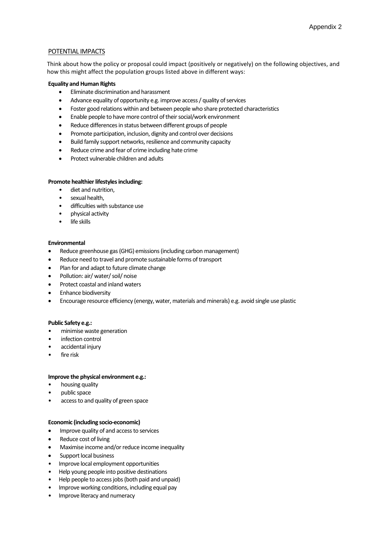#### POTENTIAL IMPACTS

Think about how the policy or proposal could impact (positively or negatively) on the following objectives, and how this might affect the population groups listed above in different ways:

#### **Equality and Human Rights**

- Eliminate discrimination and harassment
- Advance equality of opportunity e.g. improve access / quality of services
- Foster good relations within and between people who share protected characteristics
- Enable people to have more control of their social/work environment
- Reduce differences in status between different groups of people
- Promote participation, inclusion, dignity and control over decisions
- Build family support networks, resilience and community capacity
- Reduce crime and fear of crime including hate crime
- Protect vulnerable children and adults

#### **Promote healthier lifestyles including:**

- diet and nutrition,
- sexual health,
- difficulties with substance use
- physical activity
- life skills

#### **Environmental**

- Reduce greenhouse gas (GHG) emissions (including carbon management)
- Reduce need to travel and promote sustainable forms of transport
- Plan for and adapt to future climate change
- Pollution: air/ water/ soil/ noise
- Protect coastal and inland waters
- Enhance biodiversity
- Encourage resource efficiency (energy, water, materials and minerals) e.g. avoid single use plastic

#### **Public Safety e.g.:**

- minimise waste generation
- infection control
- accidental injury
- fire risk

#### **Improve the physical environment e.g.:**

- housing quality
- public space
- access to and quality of green space

#### **Economic (including socio-economic)**

- Improve quality of and access to services
- Reduce cost of living
- Maximise income and/or reduce income inequality
- Support local business
- Improve local employment opportunities
- Help young people into positive destinations
- Help people to access jobs (both paid and unpaid)
- Improve working conditions, including equal pay
- Improve literacy and numeracy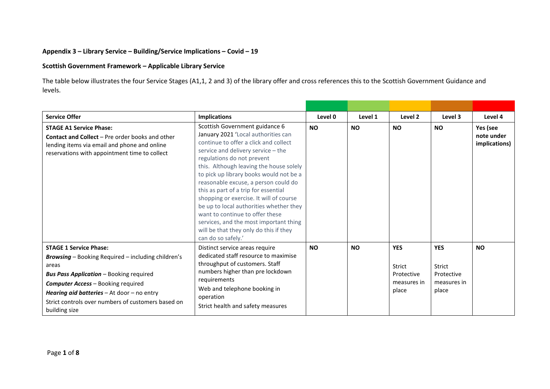## **Appendix 3 – Library Service – Building/Service Implications – Covid – 19**

## **Scottish Government Framework – Applicable Library Service**

The table below illustrates the four Service Stages (A1,1, 2 and 3) of the library offer and cross references this to the Scottish Government Guidance and levels.

| <b>Service Offer</b>                                                                                                                                                                                                                                                                                                    | <b>Implications</b>                                                                                                                                                                                                                                                                                                                                                                                                                                                                                                                                                                         | Level 0   | Level 1   | Level 2                                                    | Level 3                                                    | Level 4                                 |
|-------------------------------------------------------------------------------------------------------------------------------------------------------------------------------------------------------------------------------------------------------------------------------------------------------------------------|---------------------------------------------------------------------------------------------------------------------------------------------------------------------------------------------------------------------------------------------------------------------------------------------------------------------------------------------------------------------------------------------------------------------------------------------------------------------------------------------------------------------------------------------------------------------------------------------|-----------|-----------|------------------------------------------------------------|------------------------------------------------------------|-----------------------------------------|
| <b>STAGE A1 Service Phase:</b><br><b>Contact and Collect</b> – Pre order books and other<br>lending items via email and phone and online<br>reservations with appointment time to collect                                                                                                                               | Scottish Government guidance 6<br>January 2021 'Local authorities can<br>continue to offer a click and collect<br>service and delivery service - the<br>regulations do not prevent<br>this. Although leaving the house solely<br>to pick up library books would not be a<br>reasonable excuse, a person could do<br>this as part of a trip for essential<br>shopping or exercise. It will of course<br>be up to local authorities whether they<br>want to continue to offer these<br>services, and the most important thing<br>will be that they only do this if they<br>can do so safely.' |           | <b>NO</b> | <b>NO</b>                                                  | <b>NO</b>                                                  | Yes (see<br>note under<br>implications) |
| <b>STAGE 1 Service Phase:</b><br><b>Browsing</b> - Booking Required - including children's<br>areas<br><b>Bus Pass Application</b> - Booking required<br><b>Computer Access - Booking required</b><br>Hearing aid batteries - At door - no entry<br>Strict controls over numbers of customers based on<br>building size | Distinct service areas require<br>dedicated staff resource to maximise<br>throughput of customers. Staff<br>numbers higher than pre lockdown<br>requirements<br>Web and telephone booking in<br>operation<br>Strict health and safety measures                                                                                                                                                                                                                                                                                                                                              | <b>NO</b> | <b>NO</b> | <b>YES</b><br>Strict<br>Protective<br>measures in<br>place | <b>YES</b><br>Strict<br>Protective<br>measures in<br>place | <b>NO</b>                               |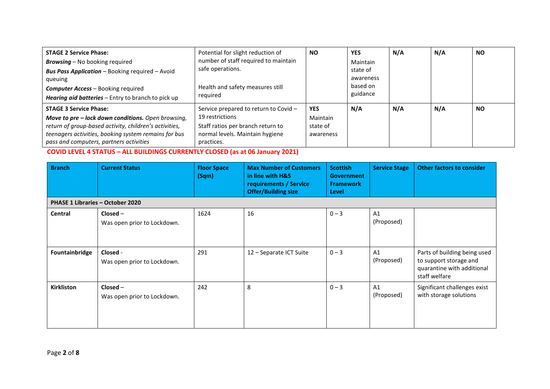| <b>STAGE 2 Service Phase:</b>                          | Potential for slight reduction of     | <b>NO</b>  | <b>YES</b> | N/A | N/A | <b>NO</b> |
|--------------------------------------------------------|---------------------------------------|------------|------------|-----|-----|-----------|
| <b>Browsing</b> – No booking required                  | number of staff required to maintain  |            | Maintain   |     |     |           |
| <b>Bus Pass Application</b> - Booking required - Avoid | safe operations.                      |            | state of   |     |     |           |
| queuing                                                |                                       |            | awareness  |     |     |           |
| <b>Computer Access</b> – Booking required              | Health and safety measures still      |            | based on   |     |     |           |
| Hearing aid batteries - Entry to branch to pick up     | reguired                              |            | guidance   |     |     |           |
| <b>STAGE 3 Service Phase:</b>                          | Service prepared to return to Covid - | <b>YES</b> | N/A        | N/A | N/A | <b>NO</b> |
| Move to pre - lock down conditions. Open browsing,     | 19 restrictions                       | Maintain   |            |     |     |           |
| return of group-based activity, children's activities, | Staff ratios per branch return to     | state of   |            |     |     |           |
| teenagers activities, booking system remains for bus   | normal levels. Maintain hygiene       | awareness  |            |     |     |           |
| pass and computers, partners activities                | practices.                            |            |            |     |     |           |

**COVID LEVEL 4 STATUS – ALL BUILDINGS CURRENTLY CLOSED (as at 06 January 2021)**

| <b>Branch</b>                    | <b>Current Status</b>                     | <b>Floor Space</b><br>(Sqm) | <b>Max Number of Customers</b><br>in line with H&S<br>requirements / Service<br><b>Offer/Building size</b> | <b>Scottish</b><br><b>Government</b><br><b>Framework</b><br>Level | <b>Service Stage</b> | <b>Other factors to consider</b>                                                                      |
|----------------------------------|-------------------------------------------|-----------------------------|------------------------------------------------------------------------------------------------------------|-------------------------------------------------------------------|----------------------|-------------------------------------------------------------------------------------------------------|
| PHASE 1 Libraries - October 2020 |                                           |                             |                                                                                                            |                                                                   |                      |                                                                                                       |
| Central                          | $Closed -$<br>Was open prior to Lockdown. | 1624                        | 16                                                                                                         | $0 - 3$                                                           | A1<br>(Proposed)     |                                                                                                       |
| Fountainbridge                   | Closed -<br>Was open prior to Lockdown.   | 291                         | 12 - Separate ICT Suite                                                                                    | $0 - 3$                                                           | A1<br>(Proposed)     | Parts of building being used<br>to support storage and<br>quarantine with additional<br>staff welfare |
| <b>Kirkliston</b>                | $Closed -$<br>Was open prior to Lockdown. | 242                         | 8                                                                                                          | $0 - 3$                                                           | A1<br>(Proposed)     | Significant challenges exist<br>with storage solutions                                                |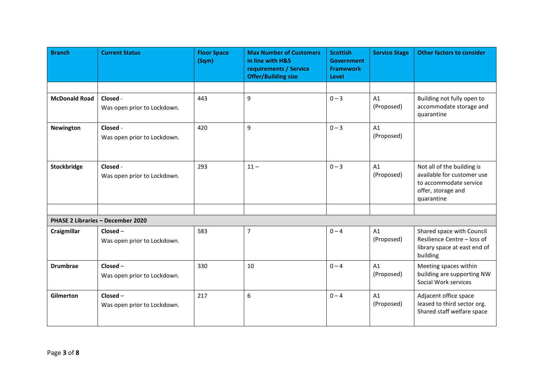| <b>Branch</b>        | <b>Current Status</b>                     | <b>Floor Space</b><br>(Sqm) | <b>Max Number of Customers</b><br>in line with H&S<br>requirements / Service<br><b>Offer/Building size</b> | <b>Scottish</b><br><b>Government</b><br><b>Framework</b><br>Level | <b>Service Stage</b> | <b>Other factors to consider</b>                                                                                       |
|----------------------|-------------------------------------------|-----------------------------|------------------------------------------------------------------------------------------------------------|-------------------------------------------------------------------|----------------------|------------------------------------------------------------------------------------------------------------------------|
|                      |                                           |                             |                                                                                                            |                                                                   |                      |                                                                                                                        |
| <b>McDonald Road</b> | Closed -<br>Was open prior to Lockdown.   | 443                         | 9                                                                                                          | $0 - 3$                                                           | A1<br>(Proposed)     | Building not fully open to<br>accommodate storage and<br>quarantine                                                    |
| <b>Newington</b>     | Closed -<br>Was open prior to Lockdown.   | 420                         | 9                                                                                                          | $0 - 3$                                                           | A1<br>(Proposed)     |                                                                                                                        |
| Stockbridge          | Closed -<br>Was open prior to Lockdown.   | 293                         | $11 -$                                                                                                     | $0 - 3$                                                           | A1<br>(Proposed)     | Not all of the building is<br>available for customer use<br>to accommodate service<br>offer, storage and<br>quarantine |
|                      |                                           |                             |                                                                                                            |                                                                   |                      |                                                                                                                        |
|                      | PHASE 2 Libraries - December 2020         |                             |                                                                                                            |                                                                   |                      |                                                                                                                        |
| Craigmillar          | Closed-<br>Was open prior to Lockdown.    | 583                         | $\overline{7}$                                                                                             | $0 - 4$                                                           | A1<br>(Proposed)     | Shared space with Council<br>Resilience Centre - loss of<br>library space at east end of<br>building                   |
| <b>Drumbrae</b>      | Closed-<br>Was open prior to Lockdown.    | 330                         | 10                                                                                                         | $0 - 4$                                                           | A1<br>(Proposed)     | Meeting spaces within<br>building are supporting NW<br>Social Work services                                            |
| Gilmerton            | $Closed -$<br>Was open prior to Lockdown. | 217                         | 6                                                                                                          | $0 - 4$                                                           | A1<br>(Proposed)     | Adjacent office space<br>leased to third sector org.<br>Shared staff welfare space                                     |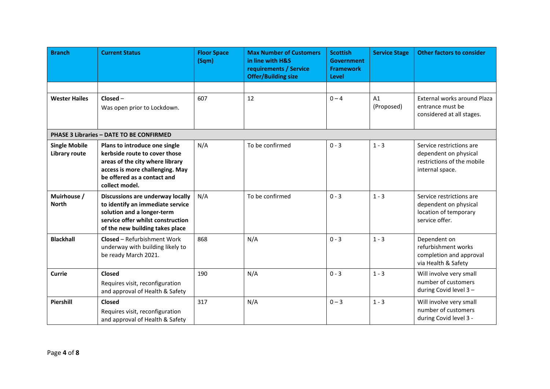| <b>Branch</b>                         | <b>Current Status</b>                                                                                                                                                                 | <b>Floor Space</b><br>(Sqm) | <b>Max Number of Customers</b><br>in line with H&S<br>requirements / Service<br><b>Offer/Building size</b> | <b>Scottish</b><br><b>Government</b><br><b>Framework</b><br>Level | <b>Service Stage</b> | <b>Other factors to consider</b>                                                                   |
|---------------------------------------|---------------------------------------------------------------------------------------------------------------------------------------------------------------------------------------|-----------------------------|------------------------------------------------------------------------------------------------------------|-------------------------------------------------------------------|----------------------|----------------------------------------------------------------------------------------------------|
|                                       |                                                                                                                                                                                       |                             |                                                                                                            |                                                                   |                      |                                                                                                    |
| <b>Wester Hailes</b>                  | $Closed -$<br>Was open prior to Lockdown.                                                                                                                                             | 607                         | 12                                                                                                         | $0 - 4$                                                           | A1<br>(Proposed)     | External works around Plaza<br>entrance must be<br>considered at all stages.                       |
|                                       | PHASE 3 Libraries - DATE TO BE CONFIRMED                                                                                                                                              |                             |                                                                                                            |                                                                   |                      |                                                                                                    |
| <b>Single Mobile</b><br>Library route | Plans to introduce one single<br>kerbside route to cover those<br>areas of the city where library<br>access is more challenging. May<br>be offered as a contact and<br>collect model. | N/A                         | To be confirmed                                                                                            | $0 - 3$                                                           | $1 - 3$              | Service restrictions are<br>dependent on physical<br>restrictions of the mobile<br>internal space. |
| Muirhouse /<br><b>North</b>           | Discussions are underway locally<br>to identify an immediate service<br>solution and a longer-term<br>service offer whilst construction<br>of the new building takes place            | N/A                         | To be confirmed                                                                                            | $0 - 3$                                                           | $1 - 3$              | Service restrictions are<br>dependent on physical<br>location of temporary<br>service offer.       |
| <b>Blackhall</b>                      | <b>Closed - Refurbishment Work</b><br>underway with building likely to<br>be ready March 2021.                                                                                        | 868                         | N/A                                                                                                        | $0 - 3$                                                           | $1 - 3$              | Dependent on<br>refurbishment works<br>completion and approval<br>via Health & Safety              |
| Currie                                | Closed<br>Requires visit, reconfiguration<br>and approval of Health & Safety                                                                                                          | 190                         | N/A                                                                                                        | $0 - 3$                                                           | $1 - 3$              | Will involve very small<br>number of customers<br>during Covid level 3-                            |
| Piershill                             | <b>Closed</b><br>Requires visit, reconfiguration<br>and approval of Health & Safety                                                                                                   | 317                         | N/A                                                                                                        | $0 - 3$                                                           | $1 - 3$              | Will involve very small<br>number of customers<br>during Covid level 3 -                           |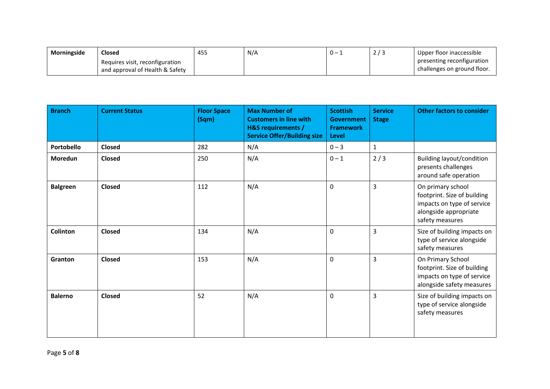| Morningside | Closed                                                             | 455 | N/A | . – | <u>_</u> | Upper floor inaccessible                                  |
|-------------|--------------------------------------------------------------------|-----|-----|-----|----------|-----------------------------------------------------------|
|             | Requires visit, reconfiguration<br>and approval of Health & Safety |     |     |     |          | presenting reconfiguration<br>challenges on ground floor. |

| <b>Branch</b>   | <b>Current Status</b> | <b>Floor Space</b><br>(Sqm) | <b>Max Number of</b><br><b>Customers in line with</b><br><b>H&amp;S requirements /</b><br><b>Service Offer/Building size</b> | <b>Scottish</b><br><b>Government</b><br><b>Framework</b><br>Level | <b>Service</b><br><b>Stage</b> | <b>Other factors to consider</b>                                                                                           |
|-----------------|-----------------------|-----------------------------|------------------------------------------------------------------------------------------------------------------------------|-------------------------------------------------------------------|--------------------------------|----------------------------------------------------------------------------------------------------------------------------|
| Portobello      | <b>Closed</b>         | 282                         | N/A                                                                                                                          | $0 - 3$                                                           | $\mathbf{1}$                   |                                                                                                                            |
| Moredun         | Closed                | 250                         | N/A                                                                                                                          | $0 - 1$                                                           | 2/3                            | <b>Building layout/condition</b><br>presents challenges<br>around safe operation                                           |
| <b>Balgreen</b> | <b>Closed</b>         | 112                         | N/A                                                                                                                          | $\Omega$                                                          | $\overline{3}$                 | On primary school<br>footprint. Size of building<br>impacts on type of service<br>alongside appropriate<br>safety measures |
| <b>Colinton</b> | <b>Closed</b>         | 134                         | N/A                                                                                                                          | 0                                                                 | $\overline{3}$                 | Size of building impacts on<br>type of service alongside<br>safety measures                                                |
| Granton         | Closed                | 153                         | N/A                                                                                                                          | 0                                                                 | $\overline{3}$                 | On Primary School<br>footprint. Size of building<br>impacts on type of service<br>alongside safety measures                |
| <b>Balerno</b>  | <b>Closed</b>         | 52                          | N/A                                                                                                                          | 0                                                                 | $\overline{3}$                 | Size of building impacts on<br>type of service alongside<br>safety measures                                                |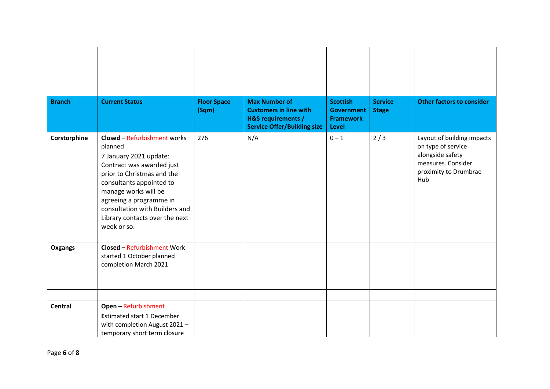| <b>Branch</b>  | <b>Current Status</b>                                                                                                                                                                                                                                                                                 | <b>Floor Space</b><br>(Sqm) | <b>Max Number of</b><br><b>Customers in line with</b><br><b>H&amp;S requirements /</b><br><b>Service Offer/Building size</b> | <b>Scottish</b><br><b>Government</b><br><b>Framework</b><br>Level | <b>Service</b><br><b>Stage</b> | <b>Other factors to consider</b>                                                                                           |
|----------------|-------------------------------------------------------------------------------------------------------------------------------------------------------------------------------------------------------------------------------------------------------------------------------------------------------|-----------------------------|------------------------------------------------------------------------------------------------------------------------------|-------------------------------------------------------------------|--------------------------------|----------------------------------------------------------------------------------------------------------------------------|
| Corstorphine   | <b>Closed - Refurbishment works</b><br>planned<br>7 January 2021 update:<br>Contract was awarded just<br>prior to Christmas and the<br>consultants appointed to<br>manage works will be<br>agreeing a programme in<br>consultation with Builders and<br>Library contacts over the next<br>week or so. | 276                         | N/A                                                                                                                          | $0 - 1$                                                           | 2/3                            | Layout of building impacts<br>on type of service<br>alongside safety<br>measures. Consider<br>proximity to Drumbrae<br>Hub |
| Oxgangs        | <b>Closed - Refurbishment Work</b><br>started 1 October planned<br>completion March 2021                                                                                                                                                                                                              |                             |                                                                                                                              |                                                                   |                                |                                                                                                                            |
| <b>Central</b> | <b>Open - Refurbishment</b><br><b>Estimated start 1 December</b><br>with completion August 2021 -<br>temporary short term closure                                                                                                                                                                     |                             |                                                                                                                              |                                                                   |                                |                                                                                                                            |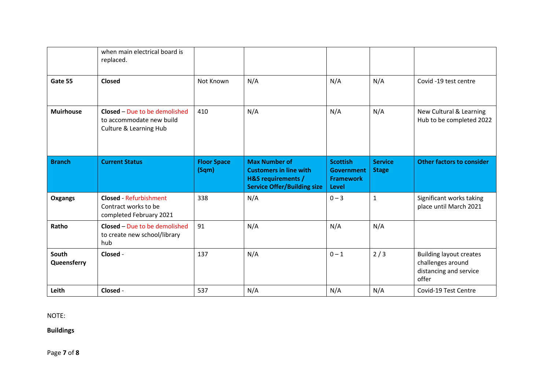|                      | when main electrical board is<br>replaced.                                          |                             |                                                                                                                              |                                                                   |                                |                                                                                        |
|----------------------|-------------------------------------------------------------------------------------|-----------------------------|------------------------------------------------------------------------------------------------------------------------------|-------------------------------------------------------------------|--------------------------------|----------------------------------------------------------------------------------------|
| Gate 55              | <b>Closed</b>                                                                       | Not Known                   | N/A                                                                                                                          | N/A                                                               | N/A                            | Covid -19 test centre                                                                  |
| <b>Muirhouse</b>     | Closed - Due to be demolished<br>to accommodate new build<br>Culture & Learning Hub | 410                         | N/A                                                                                                                          | N/A                                                               | N/A                            | New Cultural & Learning<br>Hub to be completed 2022                                    |
| <b>Branch</b>        | <b>Current Status</b>                                                               | <b>Floor Space</b><br>(Sqm) | <b>Max Number of</b><br><b>Customers in line with</b><br><b>H&amp;S requirements /</b><br><b>Service Offer/Building size</b> | <b>Scottish</b><br>Government<br><b>Framework</b><br><b>Level</b> | <b>Service</b><br><b>Stage</b> | <b>Other factors to consider</b>                                                       |
| Oxgangs              | <b>Closed - Refurbishment</b><br>Contract works to be<br>completed February 2021    | 338                         | N/A                                                                                                                          | $0 - 3$                                                           | $\mathbf 1$                    | Significant works taking<br>place until March 2021                                     |
| Ratho                | Closed - Due to be demolished<br>to create new school/library<br>hub                | 91                          | N/A                                                                                                                          | N/A                                                               | N/A                            |                                                                                        |
| South<br>Queensferry | Closed -                                                                            | 137                         | N/A                                                                                                                          | $0 - 1$                                                           | 2/3                            | <b>Building layout creates</b><br>challenges around<br>distancing and service<br>offer |
| Leith                | Closed -                                                                            | 537                         | N/A                                                                                                                          | N/A                                                               | N/A                            | Covid-19 Test Centre                                                                   |

NOTE:

**Buildings** 

Page **7** of **8**